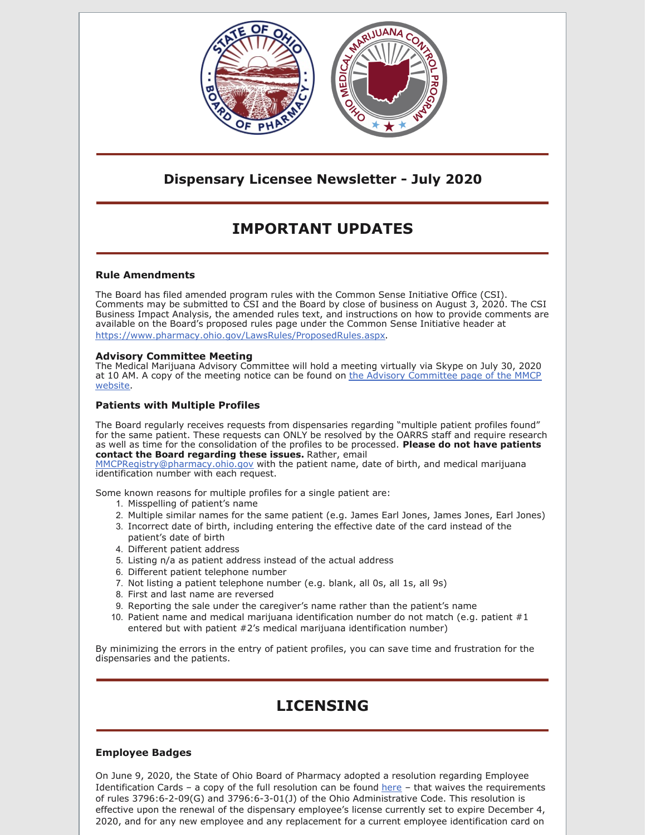

### **Dispensary Licensee Newsletter - July 2020**

# **IMPORTANT UPDATES**

### **Rule Amendments**

The Board has filed amended program rules with the Common Sense Initiative Office (CSI). Comments may be submitted to CSI and the Board by close of business on August 3, 2020. The CSI Business Impact Analysis, the amended rules text, and instructions on how to provide comments are available on the Board's proposed rules page under the Common Sense Initiative header at <https://www.pharmacy.ohio.gov/LawsRules/ProposedRules.aspx>.

#### **Advisory Committee Meeting**

The Medical Marijuana Advisory Committee will hold a meeting virtually via Skype on July 30, 2020 at 10 AM. A copy of the meeting notice can be found on the Advisory [Committee](https://www.medicalmarijuana.ohio.gov/Documents/advisory-committee/Meeting Materials/2020-07 (July)/Meeting Notice.pdf) page of the MMCP website.

### **Patients with Multiple Profiles**

The Board regularly receives requests from dispensaries regarding "multiple patient profiles found" for the same patient. These requests can ONLY be resolved by the OARRS staff and require research as well as time for the consolidation of the profiles to be processed. **Please do not have patients contact the Board regarding these issues.** Rather, email

[MMCPRegistry@pharmacy.ohio.gov](mailto:MMCPRegistry@pharmacy.ohio.gov) with the patient name, date of birth, and medical marijuana identification number with each request.

Some known reasons for multiple profiles for a single patient are:

- 1. Misspelling of patient's name
- 2. Multiple similar names for the same patient (e.g. James Earl Jones, James Jones, Earl Jones)
- 3. Incorrect date of birth, including entering the effective date of the card instead of the patient's date of birth
- 4. Different patient address
- 5. Listing n/a as patient address instead of the actual address
- 6. Different patient telephone number
- 7. Not listing a patient telephone number (e.g. blank, all 0s, all 1s, all 9s)
- 8. First and last name are reversed
- 9. Reporting the sale under the caregiver's name rather than the patient's name
- 10. Patient name and medical marijuana identification number do not match (e.g. patient  $#1$ entered but with patient #2's medical marijuana identification number)

By minimizing the errors in the entry of patient profiles, you can save time and frustration for the dispensaries and the patients.

# **LICENSING**

### **Employee Badges**

On June 9, 2020, the State of Ohio Board of Pharmacy adopted a resolution regarding Employee Identification Cards – a copy of the full resolution can be found [here](https://medicalmarijuana.ohio.gov/Documents/LicenseeResources/Dispensary Licensee Resources/DISPENSARY EMPLOYEE LICENSING/Medical Marijuana Employee Identification Cards.pdf)  $-$  that waives the requirements of rules 3796:6-2-09(G) and 3796:6-3-01(J) of the Ohio Administrative Code. This resolution is effective upon the renewal of the dispensary employee's license currently set to expire December 4, 2020, and for any new employee and any replacement for a current employee identification card on